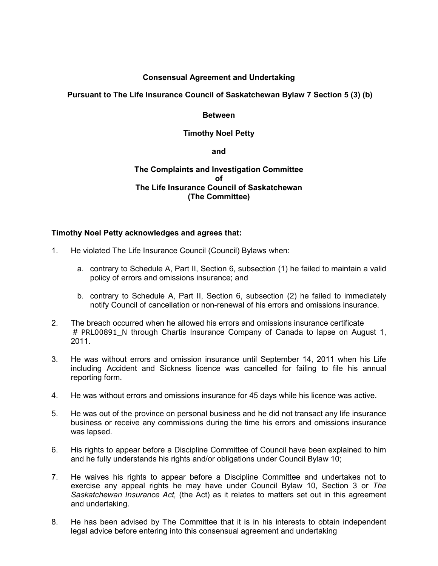# **Consensual Agreement and Undertaking**

## **Pursuant to The Life Insurance Council of Saskatchewan Bylaw 7 Section 5 (3) (b)**

### **Between**

### **Timothy Noel Petty**

#### **and**

## **The Complaints and Investigation Committee of The Life Insurance Council of Saskatchewan (The Committee)**

## **Timothy Noel Petty acknowledges and agrees that:**

- 1. He violated The Life Insurance Council (Council) Bylaws when:
	- a. contrary to Schedule A, Part II, Section 6, subsection (1) he failed to maintain a valid policy of errors and omissions insurance; and
	- b. contrary to Schedule A, Part II, Section 6, subsection (2) he failed to immediately notify Council of cancellation or non-renewal of his errors and omissions insurance.
- 2. The breach occurred when he allowed his errors and omissions insurance certificate # PRL00891 N through Chartis Insurance Company of Canada to lapse on August 1, 2011.
- 3. He was without errors and omission insurance until September 14, 2011 when his Life including Accident and Sickness licence was cancelled for failing to file his annual reporting form.
- 4. He was without errors and omissions insurance for 45 days while his licence was active.
- 5. He was out of the province on personal business and he did not transact any life insurance business or receive any commissions during the time his errors and omissions insurance was lapsed.
- 6. His rights to appear before a Discipline Committee of Council have been explained to him and he fully understands his rights and/or obligations under Council Bylaw 10;
- 7. He waives his rights to appear before a Discipline Committee and undertakes not to exercise any appeal rights he may have under Council Bylaw 10, Section 3 or *The Saskatchewan Insurance Act,* (the Act) as it relates to matters set out in this agreement and undertaking.
- 8. He has been advised by The Committee that it is in his interests to obtain independent legal advice before entering into this consensual agreement and undertaking